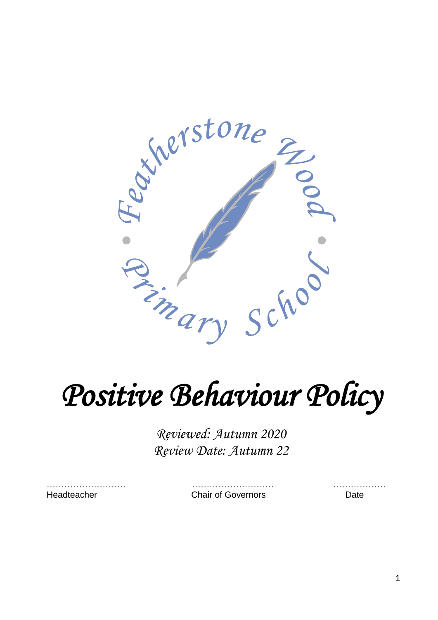

# *Positive Behaviour Policy*

*Reviewed: Autumn 2020 Review Date: Autumn 22*

……………………… ………………………. ………………

Headteacher Chair of Governors Date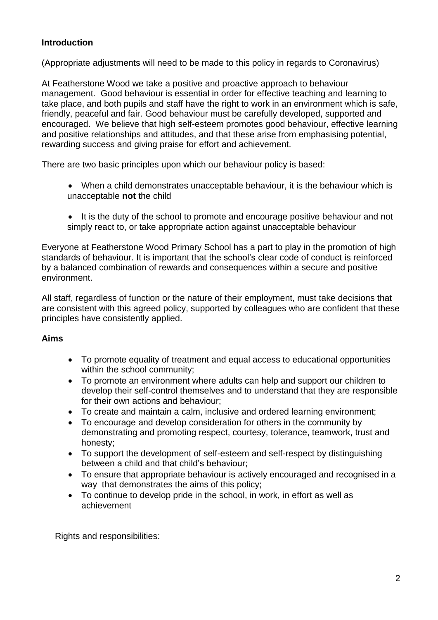#### **Introduction**

(Appropriate adjustments will need to be made to this policy in regards to Coronavirus)

At Featherstone Wood we take a positive and proactive approach to behaviour management. Good behaviour is essential in order for effective teaching and learning to take place, and both pupils and staff have the right to work in an environment which is safe, friendly, peaceful and fair. Good behaviour must be carefully developed, supported and encouraged. We believe that high self-esteem promotes good behaviour, effective learning and positive relationships and attitudes, and that these arise from emphasising potential, rewarding success and giving praise for effort and achievement.

There are two basic principles upon which our behaviour policy is based:

- When a child demonstrates unacceptable behaviour, it is the behaviour which is unacceptable **not** the child
- It is the duty of the school to promote and encourage positive behaviour and not simply react to, or take appropriate action against unacceptable behaviour

Everyone at Featherstone Wood Primary School has a part to play in the promotion of high standards of behaviour. It is important that the school's clear code of conduct is reinforced by a balanced combination of rewards and consequences within a secure and positive environment.

All staff, regardless of function or the nature of their employment, must take decisions that are consistent with this agreed policy, supported by colleagues who are confident that these principles have consistently applied.

#### **Aims**

- To promote equality of treatment and equal access to educational opportunities within the school community;
- To promote an environment where adults can help and support our children to develop their self-control themselves and to understand that they are responsible for their own actions and behaviour;
- To create and maintain a calm, inclusive and ordered learning environment;
- To encourage and develop consideration for others in the community by demonstrating and promoting respect, courtesy, tolerance, teamwork, trust and honesty;
- To support the development of self-esteem and self-respect by distinguishing between a child and that child's behaviour;
- To ensure that appropriate behaviour is actively encouraged and recognised in a way that demonstrates the aims of this policy;
- To continue to develop pride in the school, in work, in effort as well as achievement

Rights and responsibilities: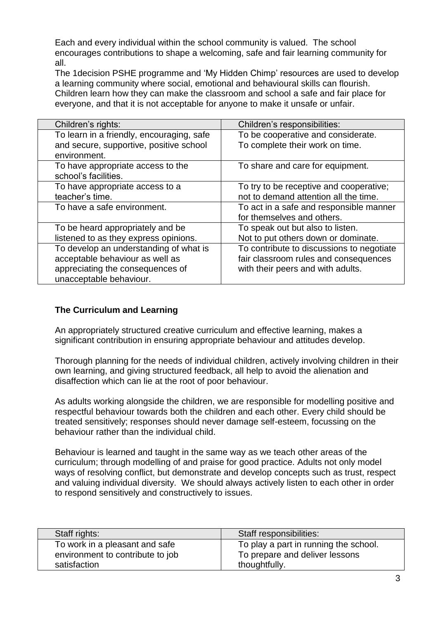Each and every individual within the school community is valued. The school encourages contributions to shape a welcoming, safe and fair learning community for all.

The 1decision PSHE programme and 'My Hidden Chimp' resources are used to develop a learning community where social, emotional and behavioural skills can flourish. Children learn how they can make the classroom and school a safe and fair place for everyone, and that it is not acceptable for anyone to make it unsafe or unfair.

| Children's rights:                        | Children's responsibilities:              |
|-------------------------------------------|-------------------------------------------|
| To learn in a friendly, encouraging, safe | To be cooperative and considerate.        |
| and secure, supportive, positive school   | To complete their work on time.           |
| environment.                              |                                           |
| To have appropriate access to the         | To share and care for equipment.          |
| school's facilities.                      |                                           |
| To have appropriate access to a           | To try to be receptive and cooperative;   |
| teacher's time.                           | not to demand attention all the time.     |
| To have a safe environment.               | To act in a safe and responsible manner   |
|                                           | for themselves and others.                |
| To be heard appropriately and be          | To speak out but also to listen.          |
| listened to as they express opinions.     | Not to put others down or dominate.       |
| To develop an understanding of what is    | To contribute to discussions to negotiate |
| acceptable behaviour as well as           | fair classroom rules and consequences     |
| appreciating the consequences of          | with their peers and with adults.         |
| unacceptable behaviour.                   |                                           |

#### **The Curriculum and Learning**

An appropriately structured creative curriculum and effective learning, makes a significant contribution in ensuring appropriate behaviour and attitudes develop.

Thorough planning for the needs of individual children, actively involving children in their own learning, and giving structured feedback, all help to avoid the alienation and disaffection which can lie at the root of poor behaviour.

As adults working alongside the children, we are responsible for modelling positive and respectful behaviour towards both the children and each other. Every child should be treated sensitively; responses should never damage self-esteem, focussing on the behaviour rather than the individual child.

Behaviour is learned and taught in the same way as we teach other areas of the curriculum; through modelling of and praise for good practice. Adults not only model ways of resolving conflict, but demonstrate and develop concepts such as trust, respect and valuing individual diversity. We should always actively listen to each other in order to respond sensitively and constructively to issues.

| Staff rights:                    | Staff responsibilities:               |
|----------------------------------|---------------------------------------|
| To work in a pleasant and safe   | To play a part in running the school. |
| environment to contribute to job | To prepare and deliver lessons        |
| satisfaction                     | thoughtfully.                         |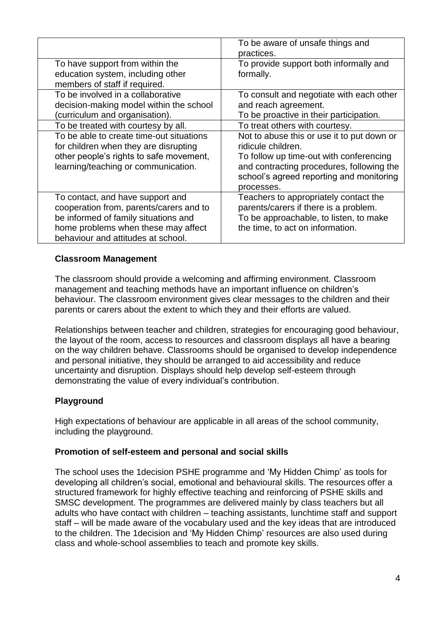|                                                                                                                                                                                                  | To be aware of unsafe things and<br>practices.                                                                                                                                                                     |
|--------------------------------------------------------------------------------------------------------------------------------------------------------------------------------------------------|--------------------------------------------------------------------------------------------------------------------------------------------------------------------------------------------------------------------|
| To have support from within the<br>education system, including other                                                                                                                             | To provide support both informally and<br>formally.                                                                                                                                                                |
| members of staff if required.<br>To be involved in a collaborative<br>decision-making model within the school<br>(curriculum and organisation).                                                  | To consult and negotiate with each other<br>and reach agreement.<br>To be proactive in their participation.                                                                                                        |
| To be treated with courtesy by all.                                                                                                                                                              | To treat others with courtesy.                                                                                                                                                                                     |
| To be able to create time-out situations<br>for children when they are disrupting<br>other people's rights to safe movement,<br>learning/teaching or communication.                              | Not to abuse this or use it to put down or<br>ridicule children.<br>To follow up time-out with conferencing<br>and contracting procedures, following the<br>school's agreed reporting and monitoring<br>processes. |
| To contact, and have support and<br>cooperation from, parents/carers and to<br>be informed of family situations and<br>home problems when these may affect<br>behaviour and attitudes at school. | Teachers to appropriately contact the<br>parents/carers if there is a problem.<br>To be approachable, to listen, to make<br>the time, to act on information.                                                       |

#### **Classroom Management**

The classroom should provide a welcoming and affirming environment. Classroom management and teaching methods have an important influence on children's behaviour. The classroom environment gives clear messages to the children and their parents or carers about the extent to which they and their efforts are valued.

Relationships between teacher and children, strategies for encouraging good behaviour, the layout of the room, access to resources and classroom displays all have a bearing on the way children behave. Classrooms should be organised to develop independence and personal initiative, they should be arranged to aid accessibility and reduce uncertainty and disruption. Displays should help develop self-esteem through demonstrating the value of every individual's contribution.

#### **Playground**

High expectations of behaviour are applicable in all areas of the school community, including the playground.

#### **Promotion of self-esteem and personal and social skills**

The school uses the 1decision PSHE programme and 'My Hidden Chimp' as tools for developing all children's social, emotional and behavioural skills. The resources offer a structured framework for highly effective teaching and reinforcing of PSHE skills and SMSC development. The programmes are delivered mainly by class teachers but all adults who have contact with children – teaching assistants, lunchtime staff and support staff – will be made aware of the vocabulary used and the key ideas that are introduced to the children. The 1decision and 'My Hidden Chimp' resources are also used during class and whole-school assemblies to teach and promote key skills.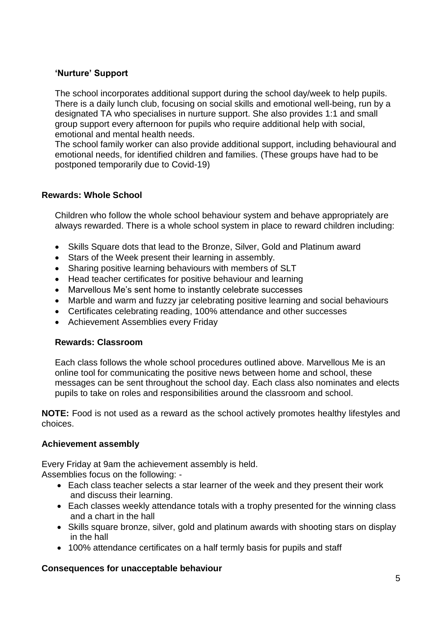#### **'Nurture' Support**

The school incorporates additional support during the school day/week to help pupils. There is a daily lunch club, focusing on social skills and emotional well-being, run by a designated TA who specialises in nurture support. She also provides 1:1 and small group support every afternoon for pupils who require additional help with social, emotional and mental health needs.

The school family worker can also provide additional support, including behavioural and emotional needs, for identified children and families. (These groups have had to be postponed temporarily due to Covid-19)

#### **Rewards: Whole School**

Children who follow the whole school behaviour system and behave appropriately are always rewarded. There is a whole school system in place to reward children including:

- Skills Square dots that lead to the Bronze, Silver, Gold and Platinum award
- Stars of the Week present their learning in assembly.
- Sharing positive learning behaviours with members of SLT
- Head teacher certificates for positive behaviour and learning
- Marvellous Me's sent home to instantly celebrate successes
- Marble and warm and fuzzy jar celebrating positive learning and social behaviours
- Certificates celebrating reading, 100% attendance and other successes
- Achievement Assemblies every Friday

#### **Rewards: Classroom**

Each class follows the whole school procedures outlined above. Marvellous Me is an online tool for communicating the positive news between home and school, these messages can be sent throughout the school day. Each class also nominates and elects pupils to take on roles and responsibilities around the classroom and school.

**NOTE:** Food is not used as a reward as the school actively promotes healthy lifestyles and choices.

#### **Achievement assembly**

Every Friday at 9am the achievement assembly is held.

Assemblies focus on the following: -

- Each class teacher selects a star learner of the week and they present their work and discuss their learning.
- Each classes weekly attendance totals with a trophy presented for the winning class and a chart in the hall
- Skills square bronze, silver, gold and platinum awards with shooting stars on display in the hall
- 100% attendance certificates on a half termly basis for pupils and staff

#### **Consequences for unacceptable behaviour**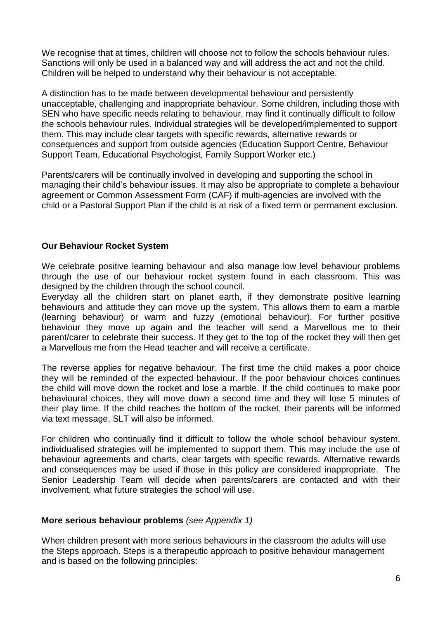We recognise that at times, children will choose not to follow the schools behaviour rules. Sanctions will only be used in a balanced way and will address the act and not the child. Children will be helped to understand why their behaviour is not acceptable.

A distinction has to be made between developmental behaviour and persistently unacceptable, challenging and inappropriate behaviour. Some children, including those with SEN who have specific needs relating to behaviour, may find it continually difficult to follow the schools behaviour rules. Individual strategies will be developed/implemented to support them. This may include clear targets with specific rewards, alternative rewards or consequences and support from outside agencies (Education Support Centre, Behaviour Support Team, Educational Psychologist, Family Support Worker etc.)

Parents/carers will be continually involved in developing and supporting the school in managing their child's behaviour issues. It may also be appropriate to complete a behaviour agreement or Common Assessment Form (CAF) if multi-agencies are involved with the child or a Pastoral Support Plan if the child is at risk of a fixed term or permanent exclusion.

#### **Our Behaviour Rocket System**

We celebrate positive learning behaviour and also manage low level behaviour problems through the use of our behaviour rocket system found in each classroom. This was designed by the children through the school council.

Everyday all the children start on planet earth, if they demonstrate positive learning behaviours and attitude they can move up the system. This allows them to earn a marble (learning behaviour) or warm and fuzzy (emotional behaviour). For further positive behaviour they move up again and the teacher will send a Marvellous me to their parent/carer to celebrate their success. If they get to the top of the rocket they will then get a Marvellous me from the Head teacher and will receive a certificate.

The reverse applies for negative behaviour. The first time the child makes a poor choice they will be reminded of the expected behaviour. If the poor behaviour choices continues the child will move down the rocket and lose a marble. If the child continues to make poor behavioural choices, they will move down a second time and they will lose 5 minutes of their play time. If the child reaches the bottom of the rocket, their parents will be informed via text message, SLT will also be informed.

For children who continually find it difficult to follow the whole school behaviour system, individualised strategies will be implemented to support them. This may include the use of behaviour agreements and charts, clear targets with specific rewards. Alternative rewards and consequences may be used if those in this policy are considered inappropriate. The Senior Leadership Team will decide when parents/carers are contacted and with their involvement, what future strategies the school will use.

#### **More serious behaviour problems** *(see Appendix 1)*

When children present with more serious behaviours in the classroom the adults will use the Steps approach. Steps is a therapeutic approach to positive behaviour management and is based on the following principles: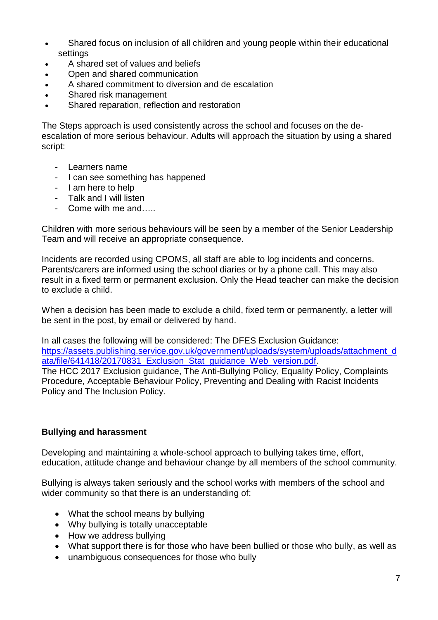- Shared focus on inclusion of all children and young people within their educational settings
- A shared set of values and beliefs
- Open and shared communication
- A shared commitment to diversion and de escalation
- Shared risk management
- Shared reparation, reflection and restoration

The Steps approach is used consistently across the school and focuses on the deescalation of more serious behaviour. Adults will approach the situation by using a shared script:

- Learners name
- I can see something has happened
- I am here to help
- Talk and I will listen
- Come with me and

Children with more serious behaviours will be seen by a member of the Senior Leadership Team and will receive an appropriate consequence.

Incidents are recorded using CPOMS, all staff are able to log incidents and concerns. Parents/carers are informed using the school diaries or by a phone call. This may also result in a fixed term or permanent exclusion. Only the Head teacher can make the decision to exclude a child.

When a decision has been made to exclude a child, fixed term or permanently, a letter will be sent in the post, by email or delivered by hand.

In all cases the following will be considered: The DFES Exclusion Guidance: [https://assets.publishing.service.gov.uk/government/uploads/system/uploads/attachment\\_d](https://assets.publishing.service.gov.uk/government/uploads/system/uploads/attachment_data/file/641418/20170831_Exclusion_Stat_guidance_Web_version.pdf) ata/file/641418/20170831 Exclusion Stat guidance Web version.pdf. The HCC 2017 Exclusion guidance, The Anti-Bullying Policy, Equality Policy, Complaints Procedure, Acceptable Behaviour Policy, Preventing and Dealing with Racist Incidents Policy and The Inclusion Policy.

#### **Bullying and harassment**

Developing and maintaining a whole-school approach to bullying takes time, effort, education, attitude change and behaviour change by all members of the school community.

Bullying is always taken seriously and the school works with members of the school and wider community so that there is an understanding of:

- What the school means by bullying
- Why bullying is totally unacceptable
- How we address bullying
- What support there is for those who have been bullied or those who bully, as well as
- unambiguous consequences for those who bully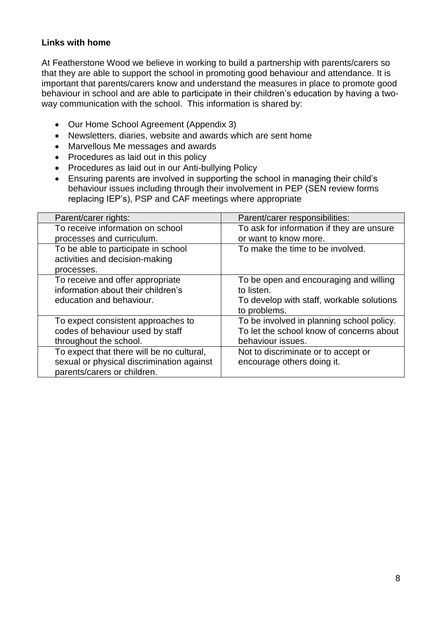#### **Links with home**

At Featherstone Wood we believe in working to build a partnership with parents/carers so that they are able to support the school in promoting good behaviour and attendance. It is important that parents/carers know and understand the measures in place to promote good behaviour in school and are able to participate in their children's education by having a twoway communication with the school. This information is shared by:

- Our Home School Agreement (Appendix 3)
- Newsletters, diaries, website and awards which are sent home
- Marvellous Me messages and awards
- Procedures as laid out in this policy
- Procedures as laid out in our Anti-bullying Policy
- Ensuring parents are involved in supporting the school in managing their child's behaviour issues including through their involvement in PEP (SEN review forms replacing IEP's), PSP and CAF meetings where appropriate

| Parent/carer rights:                      | Parent/carer responsibilities:            |
|-------------------------------------------|-------------------------------------------|
| To receive information on school          | To ask for information if they are unsure |
| processes and curriculum.                 | or want to know more.                     |
| To be able to participate in school       | To make the time to be involved.          |
| activities and decision-making            |                                           |
| processes.                                |                                           |
| To receive and offer appropriate          | To be open and encouraging and willing    |
| information about their children's        | to listen.                                |
| education and behaviour.                  | To develop with staff, workable solutions |
|                                           | to problems.                              |
| To expect consistent approaches to        | To be involved in planning school policy. |
| codes of behaviour used by staff          | To let the school know of concerns about  |
| throughout the school.                    | behaviour issues.                         |
| To expect that there will be no cultural, | Not to discriminate or to accept or       |
| sexual or physical discrimination against | encourage others doing it.                |
| parents/carers or children.               |                                           |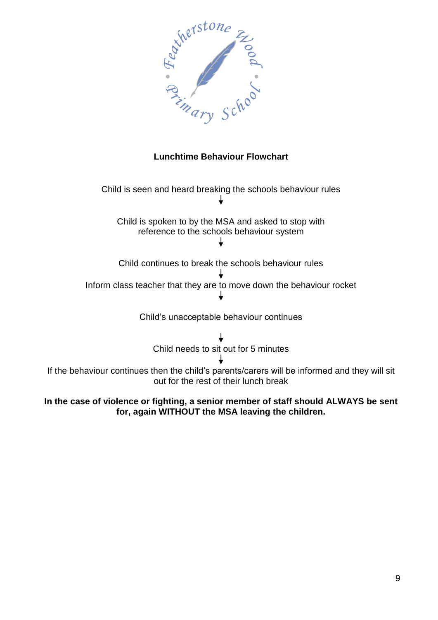

#### **Lunchtime Behaviour Flowchart**

Child is seen and heard breaking the schools behaviour rules Child is spoken to by the MSA and asked to stop with reference to the schools behaviour system Child continues to break the schools behaviour rules

Inform class teacher that they are to move down the behaviour rocket ↓

Child's unacceptable behaviour continues

Child needs to sit out for 5 minutes If the behaviour continues then the child's parents/carers will be informed and they will sit out for the rest of their lunch break

#### **In the case of violence or fighting, a senior member of staff should ALWAYS be sent for, again WITHOUT the MSA leaving the children.**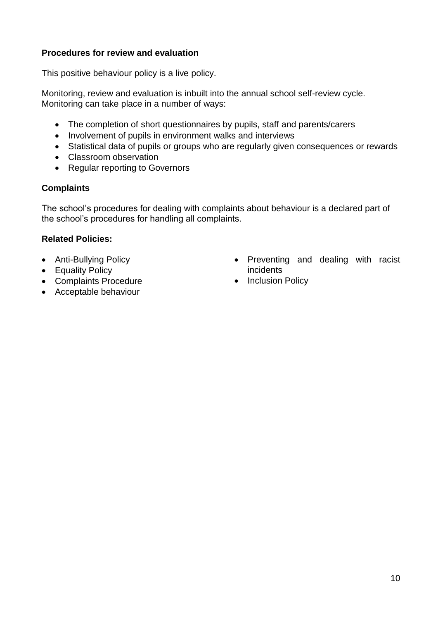#### **Procedures for review and evaluation**

This positive behaviour policy is a live policy.

Monitoring, review and evaluation is inbuilt into the annual school self-review cycle. Monitoring can take place in a number of ways:

- The completion of short questionnaires by pupils, staff and parents/carers
- Involvement of pupils in environment walks and interviews
- Statistical data of pupils or groups who are regularly given consequences or rewards
- Classroom observation
- Regular reporting to Governors

#### **Complaints**

The school's procedures for dealing with complaints about behaviour is a declared part of the school's procedures for handling all complaints.

#### **Related Policies:**

- Anti-Bullying Policy
- Equality Policy
- Complaints Procedure
- Acceptable behaviour
- Preventing and dealing with racist incidents
- Inclusion Policy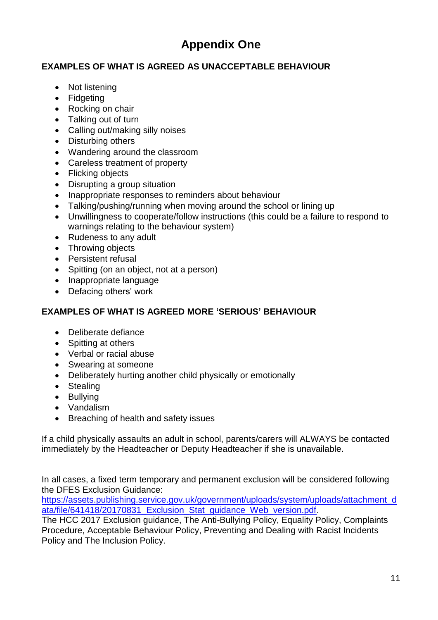## **Appendix One**

#### **EXAMPLES OF WHAT IS AGREED AS UNACCEPTABLE BEHAVIOUR**

- Not listening
- Fidgeting
- Rocking on chair
- Talking out of turn
- Calling out/making silly noises
- Disturbing others
- Wandering around the classroom
- Careless treatment of property
- Flicking objects
- Disrupting a group situation
- Inappropriate responses to reminders about behaviour
- Talking/pushing/running when moving around the school or lining up
- Unwillingness to cooperate/follow instructions (this could be a failure to respond to warnings relating to the behaviour system)
- Rudeness to any adult
- Throwing objects
- Persistent refusal
- Spitting (on an object, not at a person)
- Inappropriate language
- Defacing others' work

#### **EXAMPLES OF WHAT IS AGREED MORE 'SERIOUS' BEHAVIOUR**

- Deliberate defiance
- Spitting at others
- Verbal or racial abuse
- Swearing at someone
- Deliberately hurting another child physically or emotionally
- Stealing
- Bullying
- Vandalism
- Breaching of health and safety issues

If a child physically assaults an adult in school, parents/carers will ALWAYS be contacted immediately by the Headteacher or Deputy Headteacher if she is unavailable.

In all cases, a fixed term temporary and permanent exclusion will be considered following the DFES Exclusion Guidance:

[https://assets.publishing.service.gov.uk/government/uploads/system/uploads/attachment\\_d](https://assets.publishing.service.gov.uk/government/uploads/system/uploads/attachment_data/file/641418/20170831_Exclusion_Stat_guidance_Web_version.pdf) ata/file/641418/20170831 Exclusion Stat quidance Web version.pdf.

The HCC 2017 Exclusion guidance, The Anti-Bullying Policy, Equality Policy, Complaints Procedure, Acceptable Behaviour Policy, Preventing and Dealing with Racist Incidents Policy and The Inclusion Policy.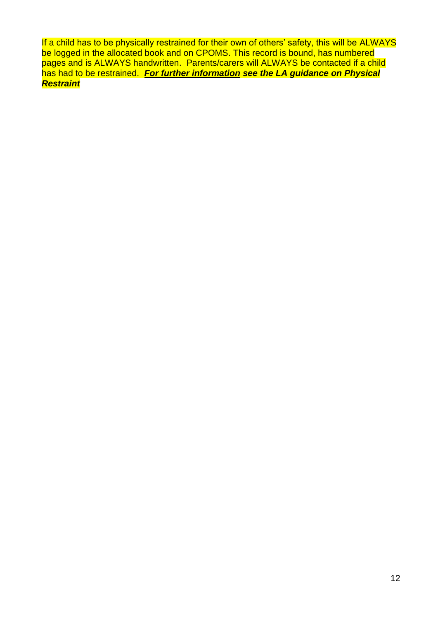If a child has to be physically restrained for their own of others' safety, this will be ALWAYS be logged in the allocated book and on CPOMS. This record is bound, has numbered pages and is ALWAYS handwritten. Parents/carers will ALWAYS be contacted if a child has had to be restrained. *For further information see the LA guidance on Physical Restraint*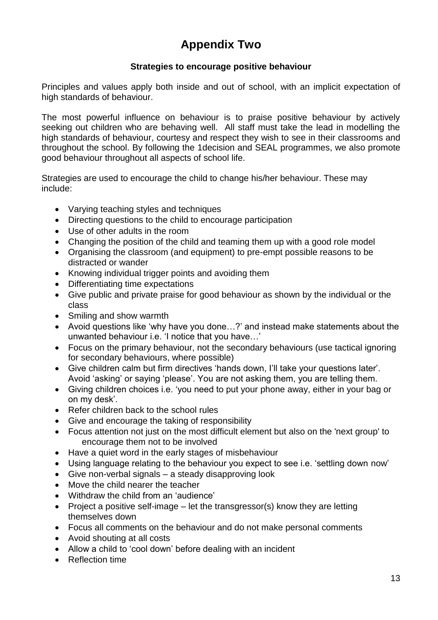## **Appendix Two**

#### **Strategies to encourage positive behaviour**

Principles and values apply both inside and out of school, with an implicit expectation of high standards of behaviour.

The most powerful influence on behaviour is to praise positive behaviour by actively seeking out children who are behaving well. All staff must take the lead in modelling the high standards of behaviour, courtesy and respect they wish to see in their classrooms and throughout the school. By following the 1decision and SEAL programmes, we also promote good behaviour throughout all aspects of school life.

Strategies are used to encourage the child to change his/her behaviour. These may include:

- Varying teaching styles and techniques
- Directing questions to the child to encourage participation
- Use of other adults in the room
- Changing the position of the child and teaming them up with a good role model
- Organising the classroom (and equipment) to pre-empt possible reasons to be distracted or wander
- Knowing individual trigger points and avoiding them
- Differentiating time expectations
- Give public and private praise for good behaviour as shown by the individual or the class
- Smiling and show warmth
- Avoid questions like 'why have you done…?' and instead make statements about the unwanted behaviour i.e. 'I notice that you have…'
- Focus on the primary behaviour, not the secondary behaviours (use tactical ignoring for secondary behaviours, where possible)
- Give children calm but firm directives 'hands down, I'll take your questions later'. Avoid 'asking' or saying 'please'. You are not asking them, you are telling them.
- Giving children choices i.e. 'you need to put your phone away, either in your bag or on my desk'.
- Refer children back to the school rules
- Give and encourage the taking of responsibility
- Focus attention not just on the most difficult element but also on the 'next group' to encourage them not to be involved
- Have a quiet word in the early stages of misbehaviour
- Using language relating to the behaviour you expect to see i.e. 'settling down now'
- Give non-verbal signals a steady disapproving look
- Move the child nearer the teacher
- Withdraw the child from an 'audience'
- Project a positive self-image let the transgressor(s) know they are letting themselves down
- Focus all comments on the behaviour and do not make personal comments
- Avoid shouting at all costs
- Allow a child to 'cool down' before dealing with an incident
- Reflection time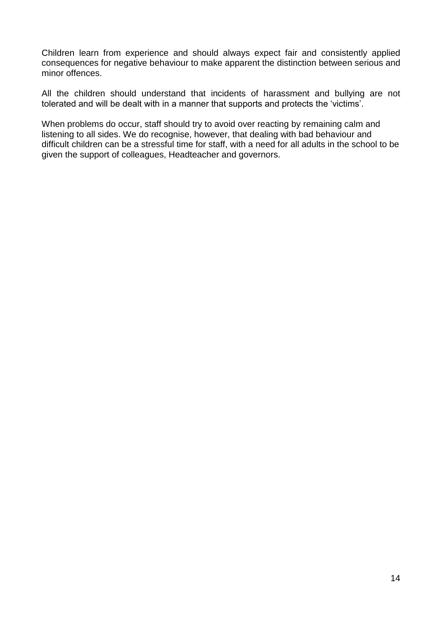Children learn from experience and should always expect fair and consistently applied consequences for negative behaviour to make apparent the distinction between serious and minor offences.

All the children should understand that incidents of harassment and bullying are not tolerated and will be dealt with in a manner that supports and protects the 'victims'.

When problems do occur, staff should try to avoid over reacting by remaining calm and listening to all sides. We do recognise, however, that dealing with bad behaviour and difficult children can be a stressful time for staff, with a need for all adults in the school to be given the support of colleagues, Headteacher and governors.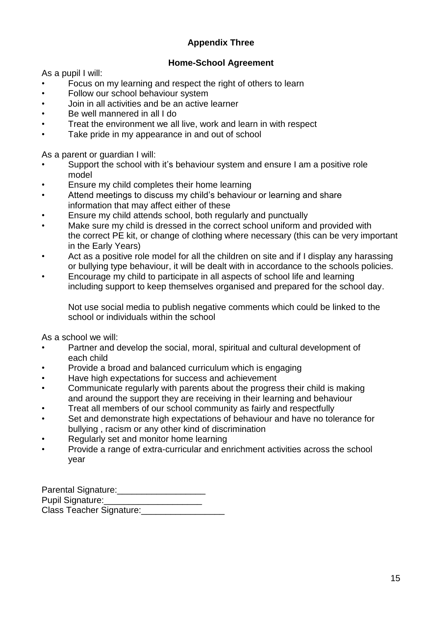#### **Appendix Three**

#### **Home-School Agreement**

As a pupil I will:

- Focus on my learning and respect the right of others to learn
- Follow our school behaviour system
- Join in all activities and be an active learner
- Be well mannered in all I do
- Treat the environment we all live, work and learn in with respect
- Take pride in my appearance in and out of school

As a parent or guardian I will:

- Support the school with it's behaviour system and ensure I am a positive role model
- Ensure my child completes their home learning
- Attend meetings to discuss my child's behaviour or learning and share information that may affect either of these
- Ensure my child attends school, both regularly and punctually
- Make sure my child is dressed in the correct school uniform and provided with the correct PE kit, or change of clothing where necessary (this can be very important in the Early Years)
- Act as a positive role model for all the children on site and if I display any harassing or bullying type behaviour, it will be dealt with in accordance to the schools policies.
- Encourage my child to participate in all aspects of school life and learning including support to keep themselves organised and prepared for the school day.

Not use social media to publish negative comments which could be linked to the school or individuals within the school

As a school we will:

- Partner and develop the social, moral, spiritual and cultural development of each child
- Provide a broad and balanced curriculum which is engaging
- Have high expectations for success and achievement
- Communicate regularly with parents about the progress their child is making and around the support they are receiving in their learning and behaviour
- Treat all members of our school community as fairly and respectfully
- Set and demonstrate high expectations of behaviour and have no tolerance for bullying , racism or any other kind of discrimination
- Regularly set and monitor home learning
- Provide a range of extra-curricular and enrichment activities across the school year

Parental Signature:\_\_\_\_\_\_\_\_\_\_\_\_\_\_\_\_\_\_ Pupil Signature: Class Teacher Signature:\_\_\_\_\_\_\_\_\_\_\_\_\_\_\_\_\_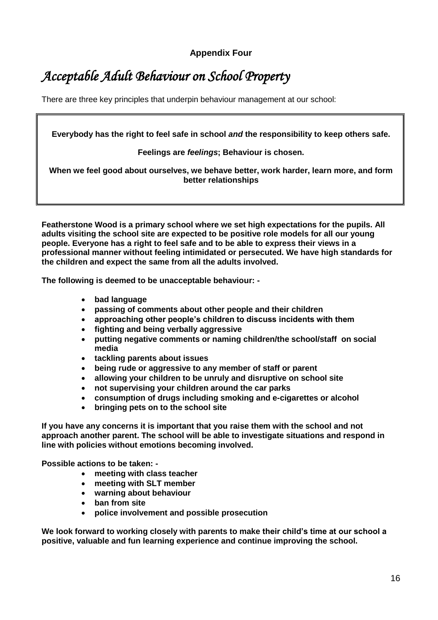**Appendix Four**

# *Acceptable Adult Behaviour on School Property*

There are three key principles that underpin behaviour management at our school:

**Everybody has the right to feel safe in school** *and* **the responsibility to keep others safe.**

**Feelings are** *feelings***; Behaviour is chosen.**

**When we feel good about ourselves, we behave better, work harder, learn more, and form better relationships**

**Featherstone Wood is a primary school where we set high expectations for the pupils. All adults visiting the school site are expected to be positive role models for all our young people. Everyone has a right to feel safe and to be able to express their views in a professional manner without feeling intimidated or persecuted. We have high standards for the children and expect the same from all the adults involved.**

**The following is deemed to be unacceptable behaviour: -**

- **bad language**
- **passing of comments about other people and their children**
- **approaching other people's children to discuss incidents with them**
- **fighting and being verbally aggressive**
- **putting negative comments or naming children/the school/staff on social media**
- **tackling parents about issues**
- **being rude or aggressive to any member of staff or parent**
- **allowing your children to be unruly and disruptive on school site**
- **not supervising your children around the car parks**
- **consumption of drugs including smoking and e-cigarettes or alcohol**
- **bringing pets on to the school site**

**If you have any concerns it is important that you raise them with the school and not approach another parent. The school will be able to investigate situations and respond in line with policies without emotions becoming involved.**

**Possible actions to be taken: -**

- **meeting with class teacher**
- **meeting with SLT member**
- **warning about behaviour**
- **ban from site**
- **police involvement and possible prosecution**

**We look forward to working closely with parents to make their child's time at our school a positive, valuable and fun learning experience and continue improving the school.**